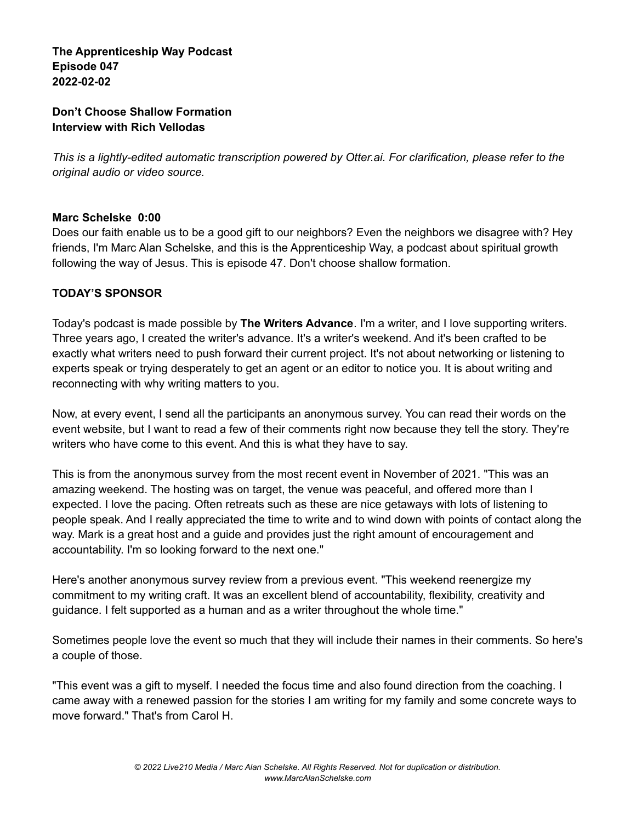**The Apprenticeship Way Podcast Episode 047 2022-02-02**

#### **Don't Choose Shallow Formation Interview with Rich Vellodas**

*This is a lightly-edited automatic transcription powered by Otter.ai. For clarification, please refer to the original audio or video source.*

#### **Marc Schelske 0:00**

Does our faith enable us to be a good gift to our neighbors? Even the neighbors we disagree with? Hey friends, I'm Marc Alan Schelske, and this is the Apprenticeship Way, a podcast about spiritual growth following the way of Jesus. This is episode 47. Don't choose shallow formation.

# **TODAY'S SPONSOR**

Today's podcast is made possible by **The Writers Advance**. I'm a writer, and I love supporting writers. Three years ago, I created the writer's advance. It's a writer's weekend. And it's been crafted to be exactly what writers need to push forward their current project. It's not about networking or listening to experts speak or trying desperately to get an agent or an editor to notice you. It is about writing and reconnecting with why writing matters to you.

Now, at every event, I send all the participants an anonymous survey. You can read their words on the event website, but I want to read a few of their comments right now because they tell the story. They're writers who have come to this event. And this is what they have to say.

This is from the anonymous survey from the most recent event in November of 2021. "This was an amazing weekend. The hosting was on target, the venue was peaceful, and offered more than I expected. I love the pacing. Often retreats such as these are nice getaways with lots of listening to people speak. And I really appreciated the time to write and to wind down with points of contact along the way. Mark is a great host and a guide and provides just the right amount of encouragement and accountability. I'm so looking forward to the next one."

Here's another anonymous survey review from a previous event. "This weekend reenergize my commitment to my writing craft. It was an excellent blend of accountability, flexibility, creativity and guidance. I felt supported as a human and as a writer throughout the whole time."

Sometimes people love the event so much that they will include their names in their comments. So here's a couple of those.

"This event was a gift to myself. I needed the focus time and also found direction from the coaching. I came away with a renewed passion for the stories I am writing for my family and some concrete ways to move forward." That's from Carol H.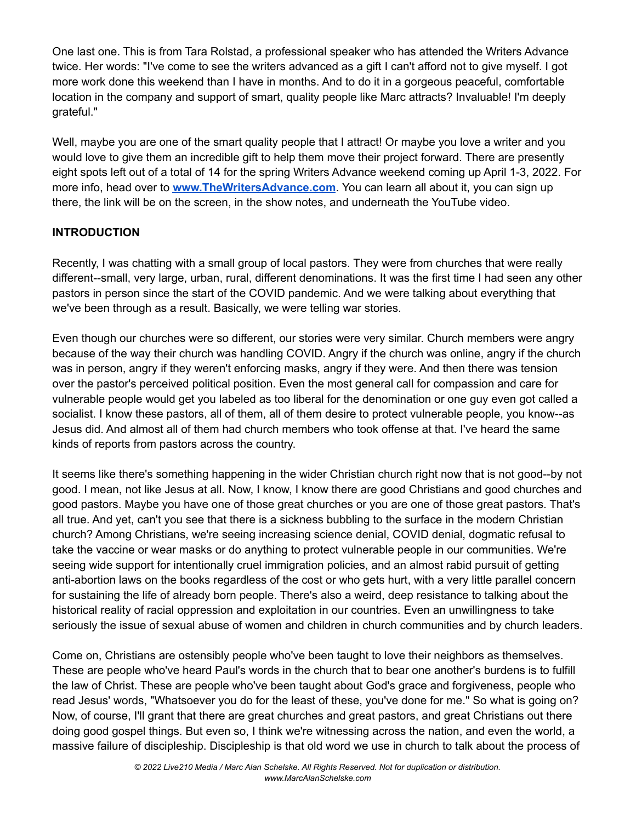One last one. This is from Tara Rolstad, a professional speaker who has attended the Writers Advance twice. Her words: "I've come to see the writers advanced as a gift I can't afford not to give myself. I got more work done this weekend than I have in months. And to do it in a gorgeous peaceful, comfortable location in the company and support of smart, quality people like Marc attracts? Invaluable! I'm deeply grateful."

Well, maybe you are one of the smart quality people that I attract! Or maybe you love a writer and you would love to give them an incredible gift to help them move their project forward. There are presently eight spots left out of a total of 14 for the spring Writers Advance weekend coming up April 1-3, 2022. For more info, head over to **[www.TheWritersAdvance.com](http://www.thewritersadvance.com)**. You can learn all about it, you can sign up there, the link will be on the screen, in the show notes, and underneath the YouTube video.

# **INTRODUCTION**

Recently, I was chatting with a small group of local pastors. They were from churches that were really different--small, very large, urban, rural, different denominations. It was the first time I had seen any other pastors in person since the start of the COVID pandemic. And we were talking about everything that we've been through as a result. Basically, we were telling war stories.

Even though our churches were so different, our stories were very similar. Church members were angry because of the way their church was handling COVID. Angry if the church was online, angry if the church was in person, angry if they weren't enforcing masks, angry if they were. And then there was tension over the pastor's perceived political position. Even the most general call for compassion and care for vulnerable people would get you labeled as too liberal for the denomination or one guy even got called a socialist. I know these pastors, all of them, all of them desire to protect vulnerable people, you know--as Jesus did. And almost all of them had church members who took offense at that. I've heard the same kinds of reports from pastors across the country.

It seems like there's something happening in the wider Christian church right now that is not good--by not good. I mean, not like Jesus at all. Now, I know, I know there are good Christians and good churches and good pastors. Maybe you have one of those great churches or you are one of those great pastors. That's all true. And yet, can't you see that there is a sickness bubbling to the surface in the modern Christian church? Among Christians, we're seeing increasing science denial, COVID denial, dogmatic refusal to take the vaccine or wear masks or do anything to protect vulnerable people in our communities. We're seeing wide support for intentionally cruel immigration policies, and an almost rabid pursuit of getting anti-abortion laws on the books regardless of the cost or who gets hurt, with a very little parallel concern for sustaining the life of already born people. There's also a weird, deep resistance to talking about the historical reality of racial oppression and exploitation in our countries. Even an unwillingness to take seriously the issue of sexual abuse of women and children in church communities and by church leaders.

Come on, Christians are ostensibly people who've been taught to love their neighbors as themselves. These are people who've heard Paul's words in the church that to bear one another's burdens is to fulfill the law of Christ. These are people who've been taught about God's grace and forgiveness, people who read Jesus' words, "Whatsoever you do for the least of these, you've done for me." So what is going on? Now, of course, I'll grant that there are great churches and great pastors, and great Christians out there doing good gospel things. But even so, I think we're witnessing across the nation, and even the world, a massive failure of discipleship. Discipleship is that old word we use in church to talk about the process of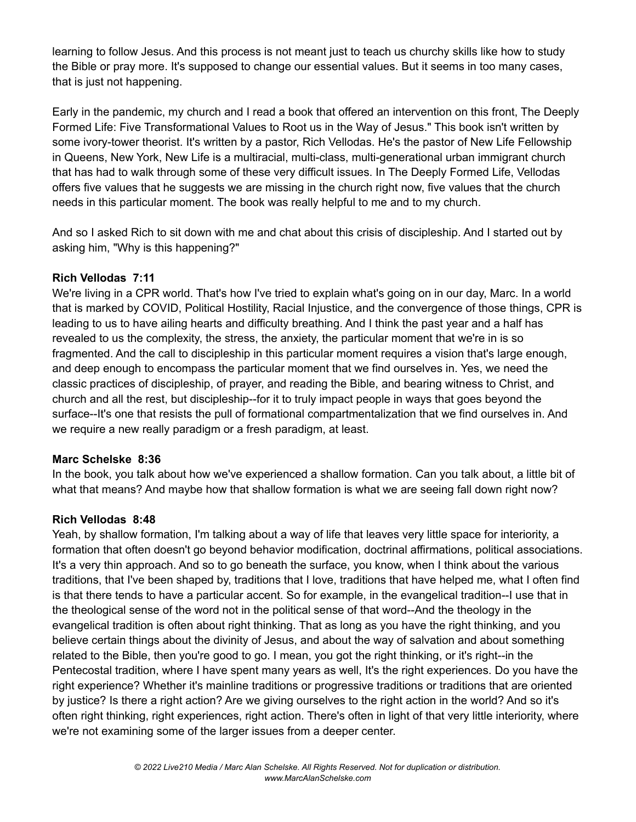learning to follow Jesus. And this process is not meant just to teach us churchy skills like how to study the Bible or pray more. It's supposed to change our essential values. But it seems in too many cases, that is just not happening.

Early in the pandemic, my church and I read a book that offered an intervention on this front, The Deeply Formed Life: Five Transformational Values to Root us in the Way of Jesus." This book isn't written by some ivory-tower theorist. It's written by a pastor, Rich Vellodas. He's the pastor of New Life Fellowship in Queens, New York, New Life is a multiracial, multi-class, multi-generational urban immigrant church that has had to walk through some of these very difficult issues. In The Deeply Formed Life, Vellodas offers five values that he suggests we are missing in the church right now, five values that the church needs in this particular moment. The book was really helpful to me and to my church.

And so I asked Rich to sit down with me and chat about this crisis of discipleship. And I started out by asking him, "Why is this happening?"

# **Rich Vellodas 7:11**

We're living in a CPR world. That's how I've tried to explain what's going on in our day, Marc. In a world that is marked by COVID, Political Hostility, Racial Injustice, and the convergence of those things, CPR is leading to us to have ailing hearts and difficulty breathing. And I think the past year and a half has revealed to us the complexity, the stress, the anxiety, the particular moment that we're in is so fragmented. And the call to discipleship in this particular moment requires a vision that's large enough, and deep enough to encompass the particular moment that we find ourselves in. Yes, we need the classic practices of discipleship, of prayer, and reading the Bible, and bearing witness to Christ, and church and all the rest, but discipleship--for it to truly impact people in ways that goes beyond the surface--It's one that resists the pull of formational compartmentalization that we find ourselves in. And we require a new really paradigm or a fresh paradigm, at least.

# **Marc Schelske 8:36**

In the book, you talk about how we've experienced a shallow formation. Can you talk about, a little bit of what that means? And maybe how that shallow formation is what we are seeing fall down right now?

# **Rich Vellodas 8:48**

Yeah, by shallow formation, I'm talking about a way of life that leaves very little space for interiority, a formation that often doesn't go beyond behavior modification, doctrinal affirmations, political associations. It's a very thin approach. And so to go beneath the surface, you know, when I think about the various traditions, that I've been shaped by, traditions that I love, traditions that have helped me, what I often find is that there tends to have a particular accent. So for example, in the evangelical tradition--I use that in the theological sense of the word not in the political sense of that word--And the theology in the evangelical tradition is often about right thinking. That as long as you have the right thinking, and you believe certain things about the divinity of Jesus, and about the way of salvation and about something related to the Bible, then you're good to go. I mean, you got the right thinking, or it's right--in the Pentecostal tradition, where I have spent many years as well, It's the right experiences. Do you have the right experience? Whether it's mainline traditions or progressive traditions or traditions that are oriented by justice? Is there a right action? Are we giving ourselves to the right action in the world? And so it's often right thinking, right experiences, right action. There's often in light of that very little interiority, where we're not examining some of the larger issues from a deeper center.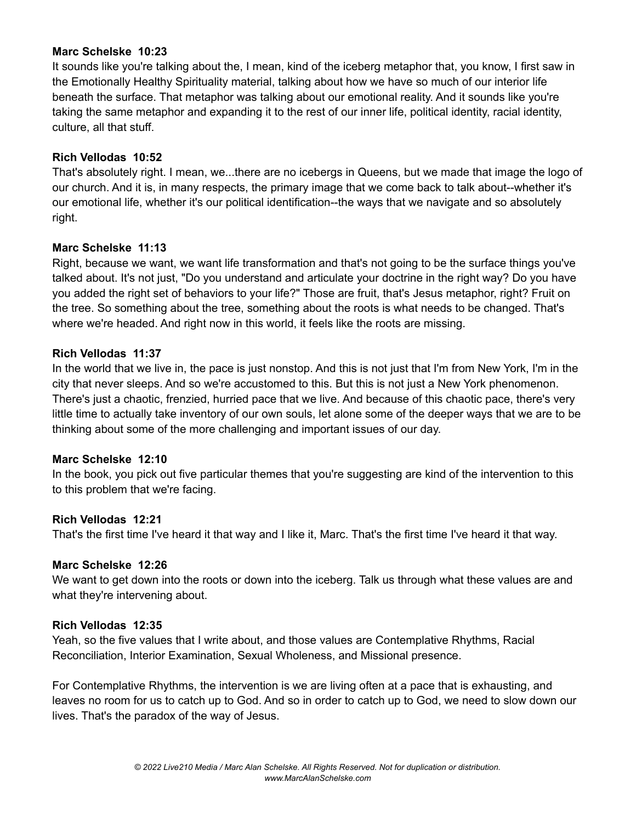#### **Marc Schelske 10:23**

It sounds like you're talking about the, I mean, kind of the iceberg metaphor that, you know, I first saw in the Emotionally Healthy Spirituality material, talking about how we have so much of our interior life beneath the surface. That metaphor was talking about our emotional reality. And it sounds like you're taking the same metaphor and expanding it to the rest of our inner life, political identity, racial identity, culture, all that stuff.

#### **Rich Vellodas 10:52**

That's absolutely right. I mean, we...there are no icebergs in Queens, but we made that image the logo of our church. And it is, in many respects, the primary image that we come back to talk about--whether it's our emotional life, whether it's our political identification--the ways that we navigate and so absolutely right.

#### **Marc Schelske 11:13**

Right, because we want, we want life transformation and that's not going to be the surface things you've talked about. It's not just, "Do you understand and articulate your doctrine in the right way? Do you have you added the right set of behaviors to your life?" Those are fruit, that's Jesus metaphor, right? Fruit on the tree. So something about the tree, something about the roots is what needs to be changed. That's where we're headed. And right now in this world, it feels like the roots are missing.

#### **Rich Vellodas 11:37**

In the world that we live in, the pace is just nonstop. And this is not just that I'm from New York, I'm in the city that never sleeps. And so we're accustomed to this. But this is not just a New York phenomenon. There's just a chaotic, frenzied, hurried pace that we live. And because of this chaotic pace, there's very little time to actually take inventory of our own souls, let alone some of the deeper ways that we are to be thinking about some of the more challenging and important issues of our day.

#### **Marc Schelske 12:10**

In the book, you pick out five particular themes that you're suggesting are kind of the intervention to this to this problem that we're facing.

# **Rich Vellodas 12:21**

That's the first time I've heard it that way and I like it, Marc. That's the first time I've heard it that way.

# **Marc Schelske 12:26**

We want to get down into the roots or down into the iceberg. Talk us through what these values are and what they're intervening about.

#### **Rich Vellodas 12:35**

Yeah, so the five values that I write about, and those values are Contemplative Rhythms, Racial Reconciliation, Interior Examination, Sexual Wholeness, and Missional presence.

For Contemplative Rhythms, the intervention is we are living often at a pace that is exhausting, and leaves no room for us to catch up to God. And so in order to catch up to God, we need to slow down our lives. That's the paradox of the way of Jesus.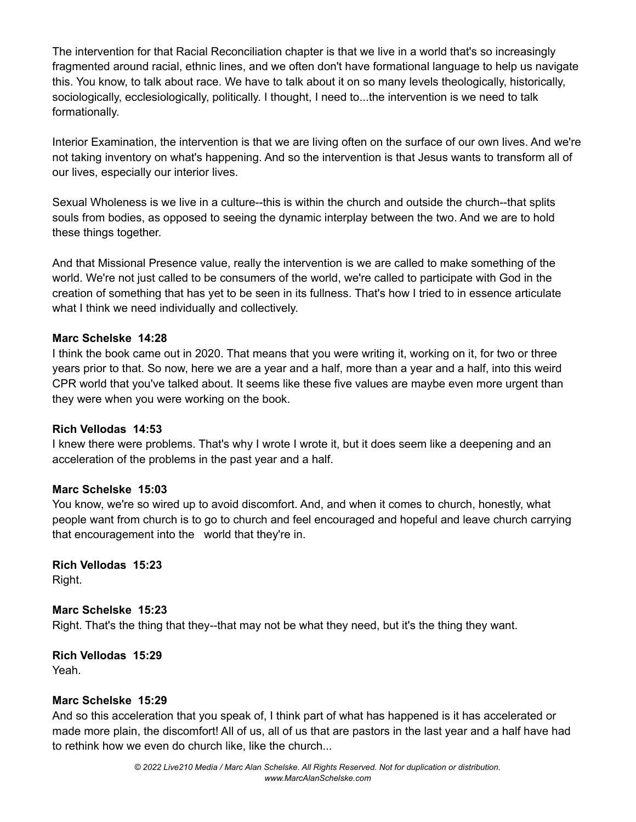The intervention for that Racial Reconciliation chapter is that we live in a world that's so increasingly fragmented around racial, ethnic lines, and we often don't have formational language to help us navigate this. You know, to talk about race. We have to talk about it on so many levels theologically, historically, sociologically, ecclesiologically, politically. I thought, I need to...the intervention is we need to talk formationally.

Interior Examination, the intervention is that we are living often on the surface of our own lives. And we're not taking inventory on what's happening. And so the intervention is that Jesus wants to transform all of our lives, especially our interior lives.

Sexual Wholeness is we live in a culture--this is within the church and outside the church--that splits souls from bodies, as opposed to seeing the dynamic interplay between the two. And we are to hold these things together.

And that Missional Presence value, really the intervention is we are called to make something of the world. We're not just called to be consumers of the world, we're called to participate with God in the creation of something that has yet to be seen in its fullness. That's how I tried to in essence articulate what I think we need individually and collectively.

#### **Marc Schelske 14:28**

I think the book came out in 2020. That means that you were writing it, working on it, for two or three years prior to that. So now, here we are a year and a half, more than a year and a half, into this weird CPR world that you've talked about. It seems like these five values are maybe even more urgent than they were when you were working on the book.

#### **Rich Vellodas 14:53**

I knew there were problems. That's why I wrote I wrote it, but it does seem like a deepening and an acceleration of the problems in the past year and a half.

#### **Marc Schelske 15:03**

You know, we're so wired up to avoid discomfort. And, and when it comes to church, honestly, what people want from church is to go to church and feel encouraged and hopeful and leave church carrying that encouragement into the world that they're in.

**Rich Vellodas 15:23** Right.

# **Marc Schelske 15:23**

Right. That's the thing that they--that may not be what they need, but it's the thing they want.

# **Rich Vellodas 15:29**

Yeah.

# **Marc Schelske 15:29**

And so this acceleration that you speak of, I think part of what has happened is it has accelerated or made more plain, the discomfort! All of us, all of us that are pastors in the last year and a half have had to rethink how we even do church like, like the church...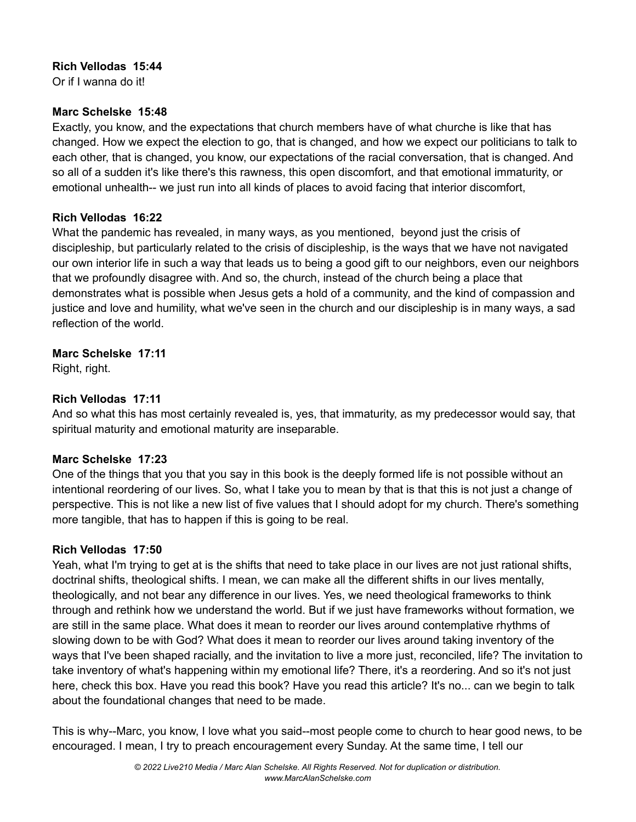#### **Rich Vellodas 15:44**

Or if I wanna do it!

#### **Marc Schelske 15:48**

Exactly, you know, and the expectations that church members have of what churche is like that has changed. How we expect the election to go, that is changed, and how we expect our politicians to talk to each other, that is changed, you know, our expectations of the racial conversation, that is changed. And so all of a sudden it's like there's this rawness, this open discomfort, and that emotional immaturity, or emotional unhealth-- we just run into all kinds of places to avoid facing that interior discomfort,

#### **Rich Vellodas 16:22**

What the pandemic has revealed, in many ways, as you mentioned, beyond just the crisis of discipleship, but particularly related to the crisis of discipleship, is the ways that we have not navigated our own interior life in such a way that leads us to being a good gift to our neighbors, even our neighbors that we profoundly disagree with. And so, the church, instead of the church being a place that demonstrates what is possible when Jesus gets a hold of a community, and the kind of compassion and justice and love and humility, what we've seen in the church and our discipleship is in many ways, a sad reflection of the world.

# **Marc Schelske 17:11**

Right, right.

# **Rich Vellodas 17:11**

And so what this has most certainly revealed is, yes, that immaturity, as my predecessor would say, that spiritual maturity and emotional maturity are inseparable.

# **Marc Schelske 17:23**

One of the things that you that you say in this book is the deeply formed life is not possible without an intentional reordering of our lives. So, what I take you to mean by that is that this is not just a change of perspective. This is not like a new list of five values that I should adopt for my church. There's something more tangible, that has to happen if this is going to be real.

# **Rich Vellodas 17:50**

Yeah, what I'm trying to get at is the shifts that need to take place in our lives are not just rational shifts, doctrinal shifts, theological shifts. I mean, we can make all the different shifts in our lives mentally, theologically, and not bear any difference in our lives. Yes, we need theological frameworks to think through and rethink how we understand the world. But if we just have frameworks without formation, we are still in the same place. What does it mean to reorder our lives around contemplative rhythms of slowing down to be with God? What does it mean to reorder our lives around taking inventory of the ways that I've been shaped racially, and the invitation to live a more just, reconciled, life? The invitation to take inventory of what's happening within my emotional life? There, it's a reordering. And so it's not just here, check this box. Have you read this book? Have you read this article? It's no... can we begin to talk about the foundational changes that need to be made.

This is why--Marc, you know, I love what you said--most people come to church to hear good news, to be encouraged. I mean, I try to preach encouragement every Sunday. At the same time, I tell our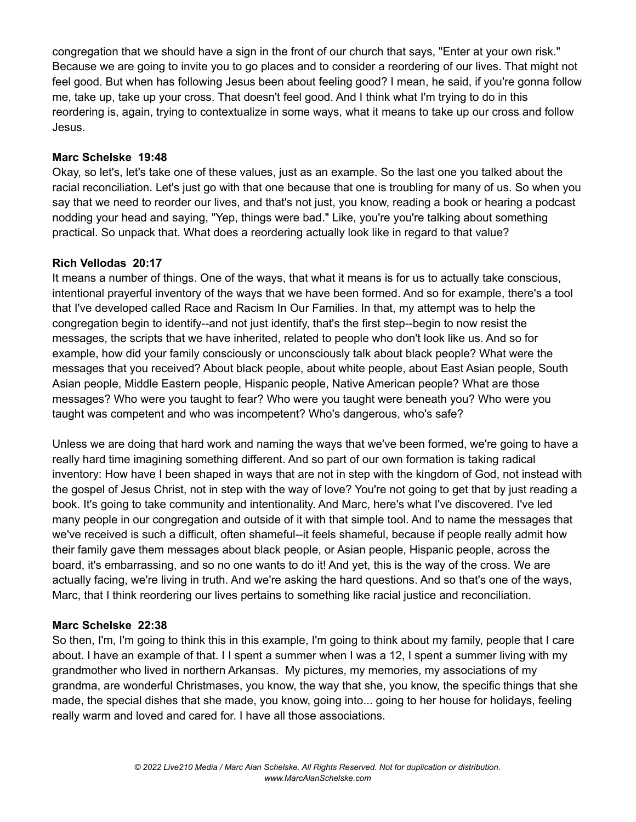congregation that we should have a sign in the front of our church that says, "Enter at your own risk." Because we are going to invite you to go places and to consider a reordering of our lives. That might not feel good. But when has following Jesus been about feeling good? I mean, he said, if you're gonna follow me, take up, take up your cross. That doesn't feel good. And I think what I'm trying to do in this reordering is, again, trying to contextualize in some ways, what it means to take up our cross and follow Jesus.

#### **Marc Schelske 19:48**

Okay, so let's, let's take one of these values, just as an example. So the last one you talked about the racial reconciliation. Let's just go with that one because that one is troubling for many of us. So when you say that we need to reorder our lives, and that's not just, you know, reading a book or hearing a podcast nodding your head and saying, "Yep, things were bad." Like, you're you're talking about something practical. So unpack that. What does a reordering actually look like in regard to that value?

#### **Rich Vellodas 20:17**

It means a number of things. One of the ways, that what it means is for us to actually take conscious, intentional prayerful inventory of the ways that we have been formed. And so for example, there's a tool that I've developed called Race and Racism In Our Families. In that, my attempt was to help the congregation begin to identify--and not just identify, that's the first step--begin to now resist the messages, the scripts that we have inherited, related to people who don't look like us. And so for example, how did your family consciously or unconsciously talk about black people? What were the messages that you received? About black people, about white people, about East Asian people, South Asian people, Middle Eastern people, Hispanic people, Native American people? What are those messages? Who were you taught to fear? Who were you taught were beneath you? Who were you taught was competent and who was incompetent? Who's dangerous, who's safe?

Unless we are doing that hard work and naming the ways that we've been formed, we're going to have a really hard time imagining something different. And so part of our own formation is taking radical inventory: How have I been shaped in ways that are not in step with the kingdom of God, not instead with the gospel of Jesus Christ, not in step with the way of love? You're not going to get that by just reading a book. It's going to take community and intentionality. And Marc, here's what I've discovered. I've led many people in our congregation and outside of it with that simple tool. And to name the messages that we've received is such a difficult, often shameful--it feels shameful, because if people really admit how their family gave them messages about black people, or Asian people, Hispanic people, across the board, it's embarrassing, and so no one wants to do it! And yet, this is the way of the cross. We are actually facing, we're living in truth. And we're asking the hard questions. And so that's one of the ways, Marc, that I think reordering our lives pertains to something like racial justice and reconciliation.

# **Marc Schelske 22:38**

So then, I'm, I'm going to think this in this example, I'm going to think about my family, people that I care about. I have an example of that. I I spent a summer when I was a 12, I spent a summer living with my grandmother who lived in northern Arkansas. My pictures, my memories, my associations of my grandma, are wonderful Christmases, you know, the way that she, you know, the specific things that she made, the special dishes that she made, you know, going into... going to her house for holidays, feeling really warm and loved and cared for. I have all those associations.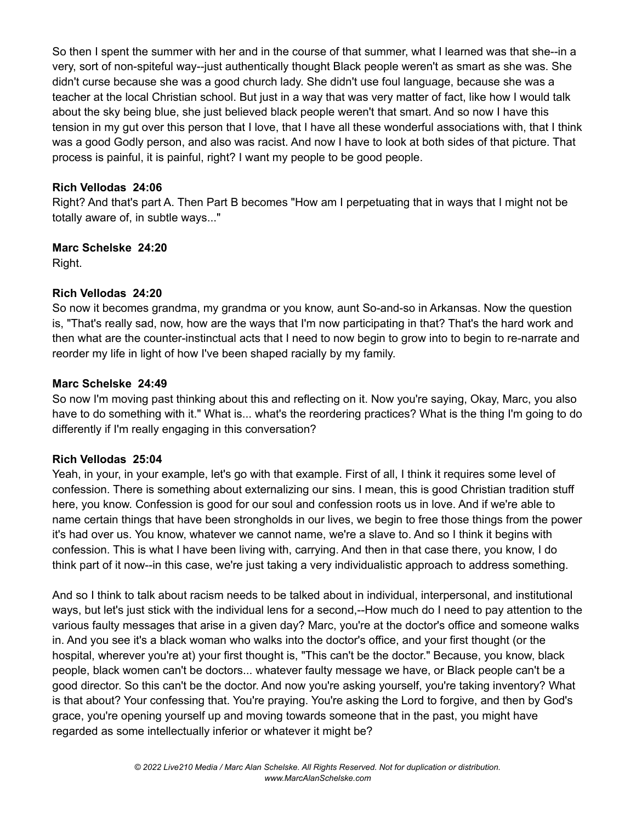So then I spent the summer with her and in the course of that summer, what I learned was that she--in a very, sort of non-spiteful way--just authentically thought Black people weren't as smart as she was. She didn't curse because she was a good church lady. She didn't use foul language, because she was a teacher at the local Christian school. But just in a way that was very matter of fact, like how I would talk about the sky being blue, she just believed black people weren't that smart. And so now I have this tension in my gut over this person that I love, that I have all these wonderful associations with, that I think was a good Godly person, and also was racist. And now I have to look at both sides of that picture. That process is painful, it is painful, right? I want my people to be good people.

# **Rich Vellodas 24:06**

Right? And that's part A. Then Part B becomes "How am I perpetuating that in ways that I might not be totally aware of, in subtle ways..."

# **Marc Schelske 24:20**

Right.

# **Rich Vellodas 24:20**

So now it becomes grandma, my grandma or you know, aunt So-and-so in Arkansas. Now the question is, "That's really sad, now, how are the ways that I'm now participating in that? That's the hard work and then what are the counter-instinctual acts that I need to now begin to grow into to begin to re-narrate and reorder my life in light of how I've been shaped racially by my family.

# **Marc Schelske 24:49**

So now I'm moving past thinking about this and reflecting on it. Now you're saying, Okay, Marc, you also have to do something with it." What is... what's the reordering practices? What is the thing I'm going to do differently if I'm really engaging in this conversation?

# **Rich Vellodas 25:04**

Yeah, in your, in your example, let's go with that example. First of all, I think it requires some level of confession. There is something about externalizing our sins. I mean, this is good Christian tradition stuff here, you know. Confession is good for our soul and confession roots us in love. And if we're able to name certain things that have been strongholds in our lives, we begin to free those things from the power it's had over us. You know, whatever we cannot name, we're a slave to. And so I think it begins with confession. This is what I have been living with, carrying. And then in that case there, you know, I do think part of it now--in this case, we're just taking a very individualistic approach to address something.

And so I think to talk about racism needs to be talked about in individual, interpersonal, and institutional ways, but let's just stick with the individual lens for a second,--How much do I need to pay attention to the various faulty messages that arise in a given day? Marc, you're at the doctor's office and someone walks in. And you see it's a black woman who walks into the doctor's office, and your first thought (or the hospital, wherever you're at) your first thought is, "This can't be the doctor." Because, you know, black people, black women can't be doctors... whatever faulty message we have, or Black people can't be a good director. So this can't be the doctor. And now you're asking yourself, you're taking inventory? What is that about? Your confessing that. You're praying. You're asking the Lord to forgive, and then by God's grace, you're opening yourself up and moving towards someone that in the past, you might have regarded as some intellectually inferior or whatever it might be?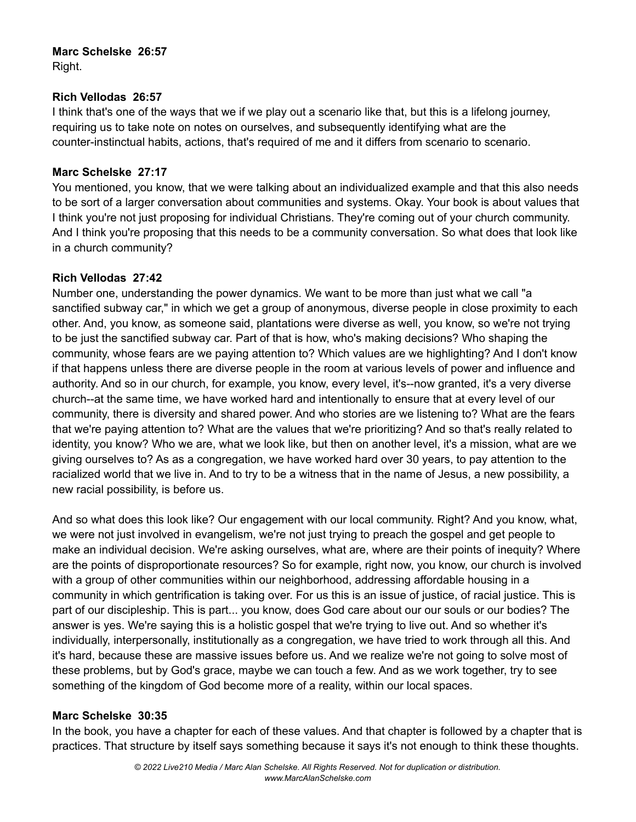# **Marc Schelske 26:57**

Right.

#### **Rich Vellodas 26:57**

I think that's one of the ways that we if we play out a scenario like that, but this is a lifelong journey, requiring us to take note on notes on ourselves, and subsequently identifying what are the counter-instinctual habits, actions, that's required of me and it differs from scenario to scenario.

#### **Marc Schelske 27:17**

You mentioned, you know, that we were talking about an individualized example and that this also needs to be sort of a larger conversation about communities and systems. Okay. Your book is about values that I think you're not just proposing for individual Christians. They're coming out of your church community. And I think you're proposing that this needs to be a community conversation. So what does that look like in a church community?

# **Rich Vellodas 27:42**

Number one, understanding the power dynamics. We want to be more than just what we call "a sanctified subway car," in which we get a group of anonymous, diverse people in close proximity to each other. And, you know, as someone said, plantations were diverse as well, you know, so we're not trying to be just the sanctified subway car. Part of that is how, who's making decisions? Who shaping the community, whose fears are we paying attention to? Which values are we highlighting? And I don't know if that happens unless there are diverse people in the room at various levels of power and influence and authority. And so in our church, for example, you know, every level, it's--now granted, it's a very diverse church--at the same time, we have worked hard and intentionally to ensure that at every level of our community, there is diversity and shared power. And who stories are we listening to? What are the fears that we're paying attention to? What are the values that we're prioritizing? And so that's really related to identity, you know? Who we are, what we look like, but then on another level, it's a mission, what are we giving ourselves to? As as a congregation, we have worked hard over 30 years, to pay attention to the racialized world that we live in. And to try to be a witness that in the name of Jesus, a new possibility, a new racial possibility, is before us.

And so what does this look like? Our engagement with our local community. Right? And you know, what, we were not just involved in evangelism, we're not just trying to preach the gospel and get people to make an individual decision. We're asking ourselves, what are, where are their points of inequity? Where are the points of disproportionate resources? So for example, right now, you know, our church is involved with a group of other communities within our neighborhood, addressing affordable housing in a community in which gentrification is taking over. For us this is an issue of justice, of racial justice. This is part of our discipleship. This is part... you know, does God care about our our souls or our bodies? The answer is yes. We're saying this is a holistic gospel that we're trying to live out. And so whether it's individually, interpersonally, institutionally as a congregation, we have tried to work through all this. And it's hard, because these are massive issues before us. And we realize we're not going to solve most of these problems, but by God's grace, maybe we can touch a few. And as we work together, try to see something of the kingdom of God become more of a reality, within our local spaces.

# **Marc Schelske 30:35**

In the book, you have a chapter for each of these values. And that chapter is followed by a chapter that is practices. That structure by itself says something because it says it's not enough to think these thoughts.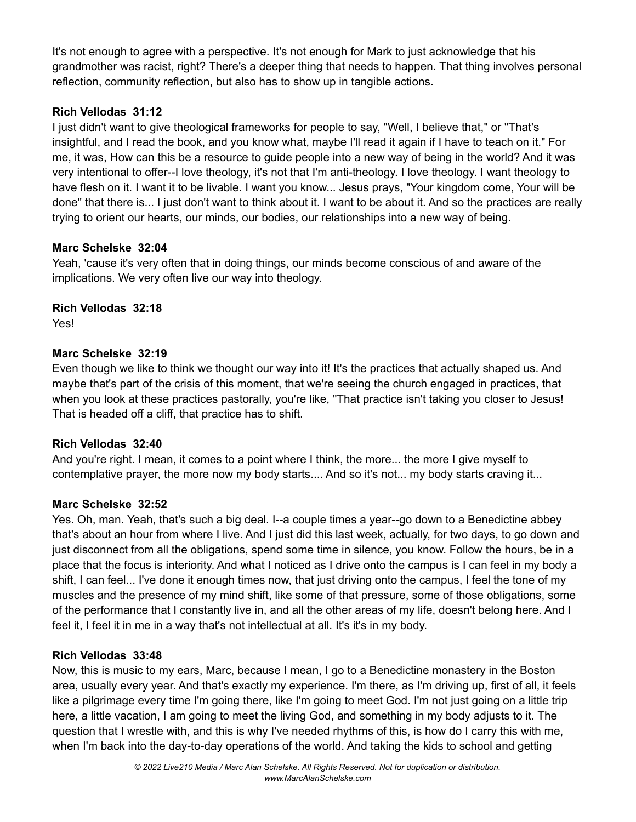It's not enough to agree with a perspective. It's not enough for Mark to just acknowledge that his grandmother was racist, right? There's a deeper thing that needs to happen. That thing involves personal reflection, community reflection, but also has to show up in tangible actions.

# **Rich Vellodas 31:12**

I just didn't want to give theological frameworks for people to say, "Well, I believe that," or "That's insightful, and I read the book, and you know what, maybe I'll read it again if I have to teach on it." For me, it was, How can this be a resource to guide people into a new way of being in the world? And it was very intentional to offer--I love theology, it's not that I'm anti-theology. I love theology. I want theology to have flesh on it. I want it to be livable. I want you know... Jesus prays, "Your kingdom come, Your will be done" that there is... I just don't want to think about it. I want to be about it. And so the practices are really trying to orient our hearts, our minds, our bodies, our relationships into a new way of being.

# **Marc Schelske 32:04**

Yeah, 'cause it's very often that in doing things, our minds become conscious of and aware of the implications. We very often live our way into theology.

# **Rich Vellodas 32:18**

Yes!

# **Marc Schelske 32:19**

Even though we like to think we thought our way into it! It's the practices that actually shaped us. And maybe that's part of the crisis of this moment, that we're seeing the church engaged in practices, that when you look at these practices pastorally, you're like, "That practice isn't taking you closer to Jesus! That is headed off a cliff, that practice has to shift.

# **Rich Vellodas 32:40**

And you're right. I mean, it comes to a point where I think, the more... the more I give myself to contemplative prayer, the more now my body starts.... And so it's not... my body starts craving it...

# **Marc Schelske 32:52**

Yes. Oh, man. Yeah, that's such a big deal. I--a couple times a year--go down to a Benedictine abbey that's about an hour from where I live. And I just did this last week, actually, for two days, to go down and just disconnect from all the obligations, spend some time in silence, you know. Follow the hours, be in a place that the focus is interiority. And what I noticed as I drive onto the campus is I can feel in my body a shift, I can feel... I've done it enough times now, that just driving onto the campus, I feel the tone of my muscles and the presence of my mind shift, like some of that pressure, some of those obligations, some of the performance that I constantly live in, and all the other areas of my life, doesn't belong here. And I feel it, I feel it in me in a way that's not intellectual at all. It's it's in my body.

# **Rich Vellodas 33:48**

Now, this is music to my ears, Marc, because I mean, I go to a Benedictine monastery in the Boston area, usually every year. And that's exactly my experience. I'm there, as I'm driving up, first of all, it feels like a pilgrimage every time I'm going there, like I'm going to meet God. I'm not just going on a little trip here, a little vacation, I am going to meet the living God, and something in my body adjusts to it. The question that I wrestle with, and this is why I've needed rhythms of this, is how do I carry this with me, when I'm back into the day-to-day operations of the world. And taking the kids to school and getting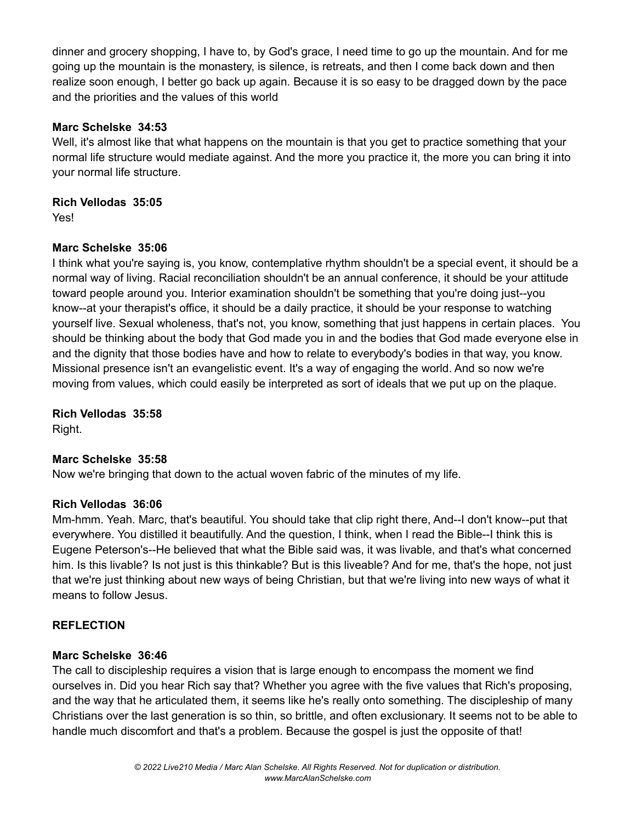dinner and grocery shopping, I have to, by God's grace, I need time to go up the mountain. And for me going up the mountain is the monastery, is silence, is retreats, and then I come back down and then realize soon enough, I better go back up again. Because it is so easy to be dragged down by the pace and the priorities and the values of this world

#### **Marc Schelske 34:53**

Well, it's almost like that what happens on the mountain is that you get to practice something that your normal life structure would mediate against. And the more you practice it, the more you can bring it into your normal life structure.

#### **Rich Vellodas 35:05**

Yes!

# **Marc Schelske 35:06**

I think what you're saying is, you know, contemplative rhythm shouldn't be a special event, it should be a normal way of living. Racial reconciliation shouldn't be an annual conference, it should be your attitude toward people around you. Interior examination shouldn't be something that you're doing just--you know--at your therapist's office, it should be a daily practice, it should be your response to watching yourself live. Sexual wholeness, that's not, you know, something that just happens in certain places. You should be thinking about the body that God made you in and the bodies that God made everyone else in and the dignity that those bodies have and how to relate to everybody's bodies in that way, you know. Missional presence isn't an evangelistic event. It's a way of engaging the world. And so now we're moving from values, which could easily be interpreted as sort of ideals that we put up on the plaque.

**Rich Vellodas 35:58** Right.

# **Marc Schelske 35:58**

Now we're bringing that down to the actual woven fabric of the minutes of my life.

#### **Rich Vellodas 36:06**

Mm-hmm. Yeah. Marc, that's beautiful. You should take that clip right there, And--I don't know--put that everywhere. You distilled it beautifully. And the question, I think, when I read the Bible--I think this is Eugene Peterson's--He believed that what the Bible said was, it was livable, and that's what concerned him. Is this livable? Is not just is this thinkable? But is this liveable? And for me, that's the hope, not just that we're just thinking about new ways of being Christian, but that we're living into new ways of what it means to follow Jesus.

# **REFLECTION**

#### **Marc Schelske 36:46**

The call to discipleship requires a vision that is large enough to encompass the moment we find ourselves in. Did you hear Rich say that? Whether you agree with the five values that Rich's proposing, and the way that he articulated them, it seems like he's really onto something. The discipleship of many Christians over the last generation is so thin, so brittle, and often exclusionary. It seems not to be able to handle much discomfort and that's a problem. Because the gospel is just the opposite of that!